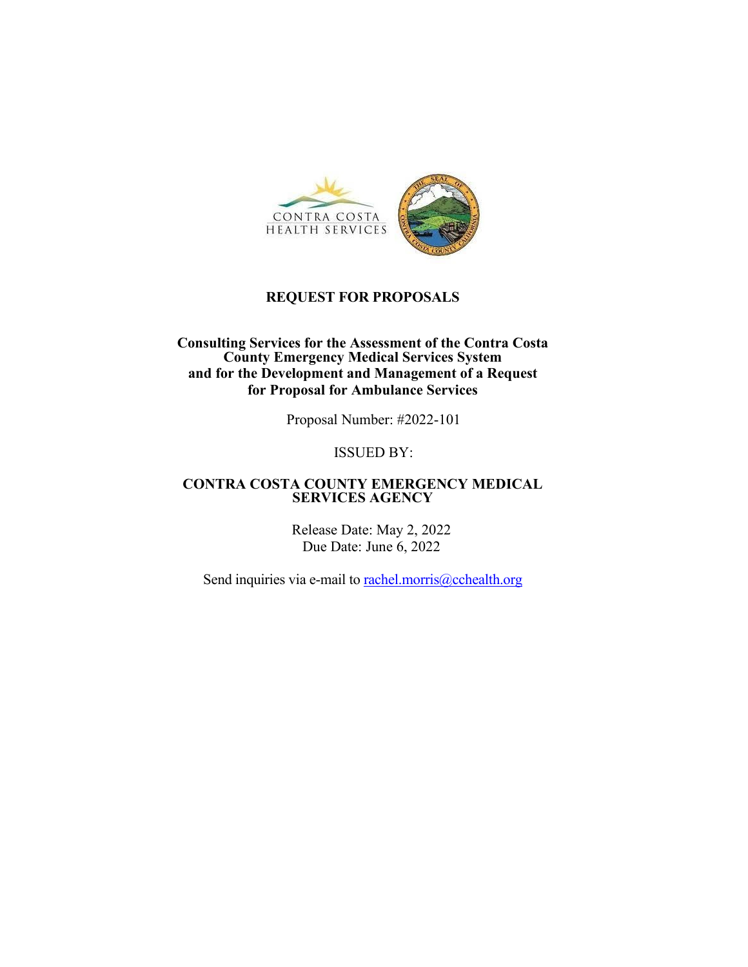

### **REQUEST FOR PROPOSALS**

#### **Consulting Services for the Assessment of the Contra Costa County Emergency Medical Services System and for the Development and Management of a Request for Proposal for Ambulance Services**

Proposal Number: #2022-101

#### ISSUED BY:

#### **CONTRA COSTA COUNTY EMERGENCY MEDICAL SERVICES AGENCY**

Release Date: May 2, 2022 Due Date: June 6, 2022

Send inquiries via e-mail to rachel.morris@cchealth.org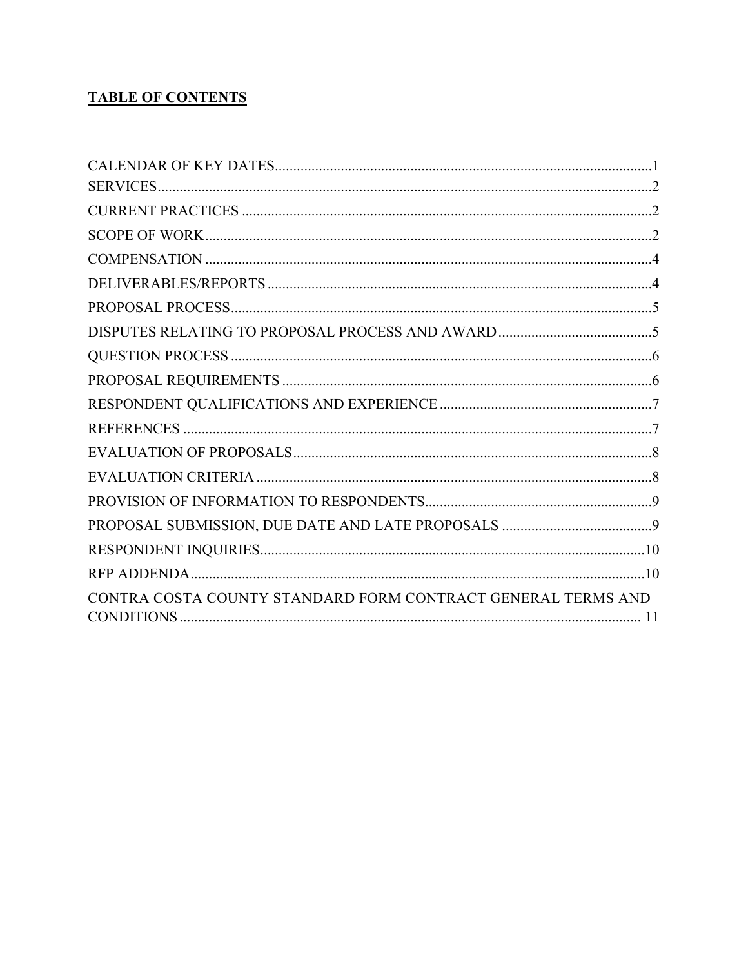# **TABLE OF CONTENTS**

| CONTRA COSTA COUNTY STANDARD FORM CONTRACT GENERAL TERMS AND |
|--------------------------------------------------------------|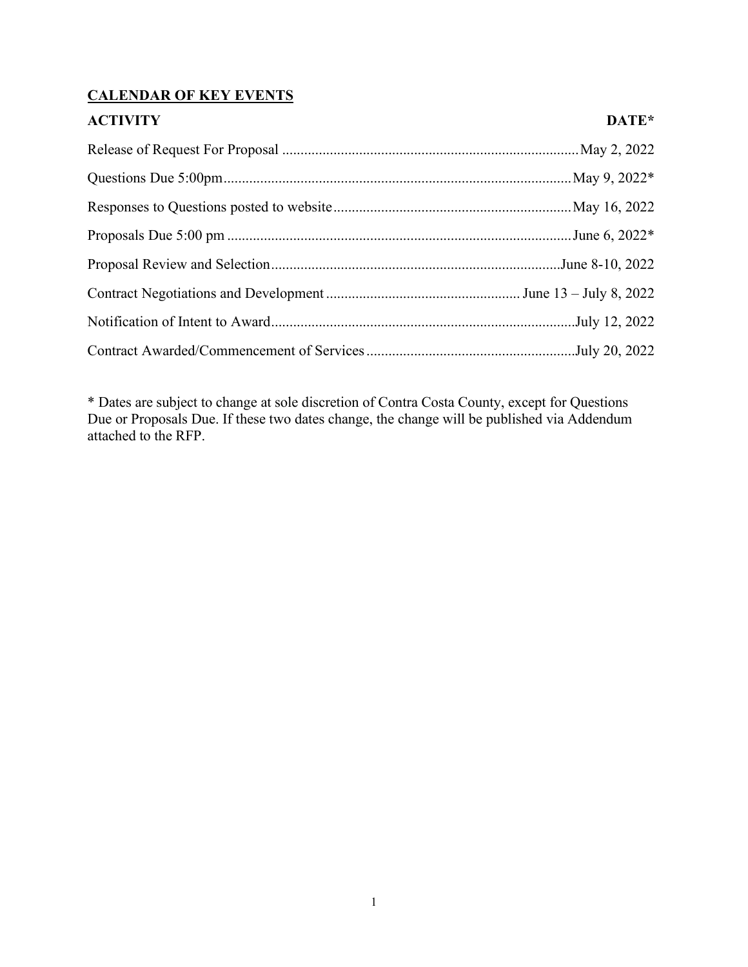## **CALENDAR OF KEY EVENTS**

| <b>ACTIVITY</b> | DATE* |
|-----------------|-------|
|                 |       |
|                 |       |
|                 |       |
|                 |       |
|                 |       |
|                 |       |
|                 |       |
|                 |       |

\* Dates are subject to change at sole discretion of Contra Costa County, except for Questions Due or Proposals Due. If these two dates change, the change will be published via Addendum attached to the RFP.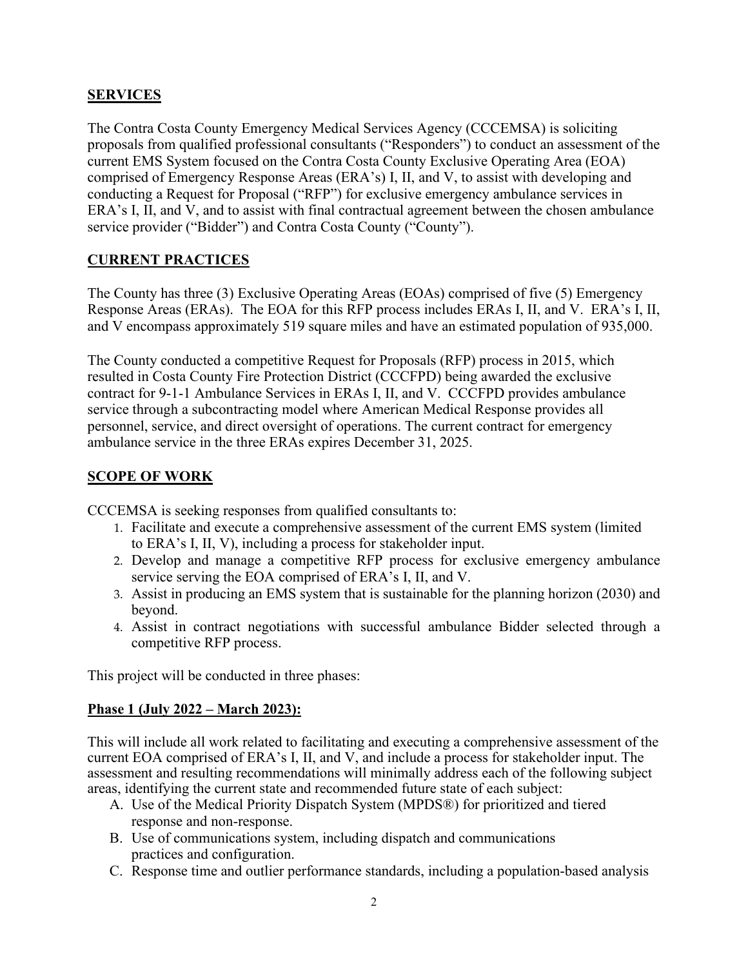## **SERVICES**

The Contra Costa County Emergency Medical Services Agency (CCCEMSA) is soliciting proposals from qualified professional consultants ("Responders") to conduct an assessment of the current EMS System focused on the Contra Costa County Exclusive Operating Area (EOA) comprised of Emergency Response Areas (ERA's) I, II, and V, to assist with developing and conducting a Request for Proposal ("RFP") for exclusive emergency ambulance services in ERA's I, II, and V, and to assist with final contractual agreement between the chosen ambulance service provider ("Bidder") and Contra Costa County ("County").

### **CURRENT PRACTICES**

The County has three (3) Exclusive Operating Areas (EOAs) comprised of five (5) Emergency Response Areas (ERAs). The EOA for this RFP process includes ERAs I, II, and V. ERA's I, II, and V encompass approximately 519 square miles and have an estimated population of 935,000.

The County conducted a competitive Request for Proposals (RFP) process in 2015, which resulted in Costa County Fire Protection District (CCCFPD) being awarded the exclusive contract for 9-1-1 Ambulance Services in ERAs I, II, and V. CCCFPD provides ambulance service through a subcontracting model where American Medical Response provides all personnel, service, and direct oversight of operations. The current contract for emergency ambulance service in the three ERAs expires December 31, 2025.

## **SCOPE OF WORK**

CCCEMSA is seeking responses from qualified consultants to:

- 1. Facilitate and execute a comprehensive assessment of the current EMS system (limited to ERA's I, II, V), including a process for stakeholder input.
- 2. Develop and manage a competitive RFP process for exclusive emergency ambulance service serving the EOA comprised of ERA's I, II, and V.
- 3. Assist in producing an EMS system that is sustainable for the planning horizon (2030) and beyond.
- 4. Assist in contract negotiations with successful ambulance Bidder selected through a competitive RFP process.

This project will be conducted in three phases:

### **Phase 1 (July 2022 – March 2023):**

This will include all work related to facilitating and executing a comprehensive assessment of the current EOA comprised of ERA's I, II, and V, and include a process for stakeholder input. The assessment and resulting recommendations will minimally address each of the following subject areas, identifying the current state and recommended future state of each subject:

- A. Use of the Medical Priority Dispatch System (MPDS®) for prioritized and tiered response and non-response.
- B. Use of communications system, including dispatch and communications practices and configuration.
- C. Response time and outlier performance standards, including a population-based analysis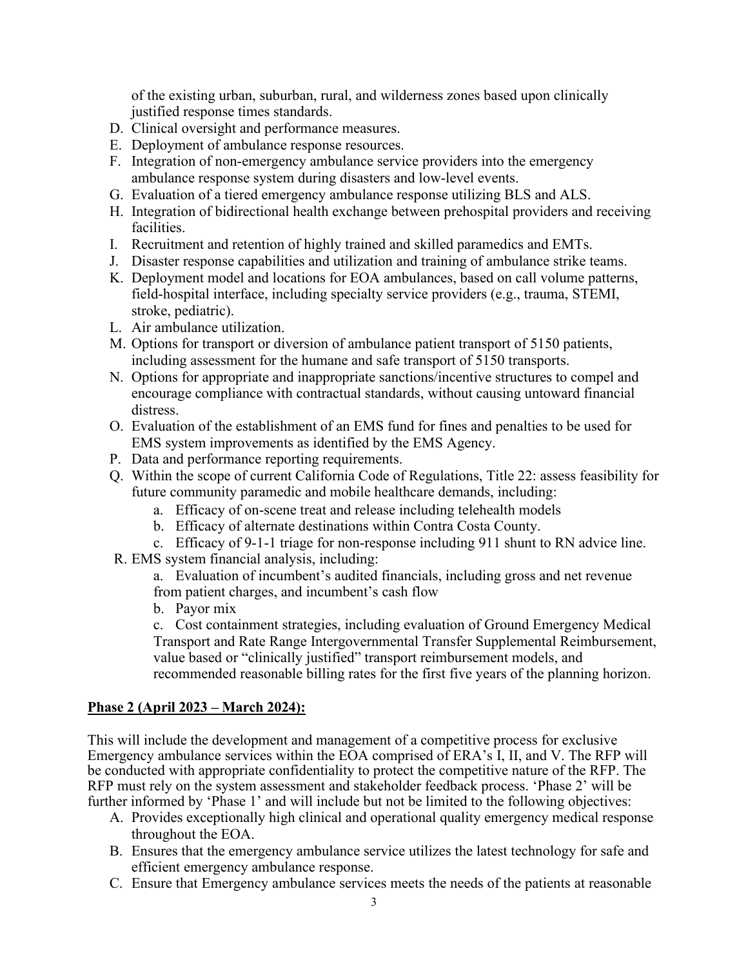of the existing urban, suburban, rural, and wilderness zones based upon clinically justified response times standards.

- D. Clinical oversight and performance measures.
- E. Deployment of ambulance response resources.
- F. Integration of non-emergency ambulance service providers into the emergency ambulance response system during disasters and low-level events.
- G. Evaluation of a tiered emergency ambulance response utilizing BLS and ALS.
- H. Integration of bidirectional health exchange between prehospital providers and receiving facilities.
- I. Recruitment and retention of highly trained and skilled paramedics and EMTs.
- J. Disaster response capabilities and utilization and training of ambulance strike teams.
- K. Deployment model and locations for EOA ambulances, based on call volume patterns, field-hospital interface, including specialty service providers (e.g., trauma, STEMI, stroke, pediatric).
- L. Air ambulance utilization.
- M. Options for transport or diversion of ambulance patient transport of 5150 patients, including assessment for the humane and safe transport of 5150 transports.
- N. Options for appropriate and inappropriate sanctions/incentive structures to compel and encourage compliance with contractual standards, without causing untoward financial distress.
- O. Evaluation of the establishment of an EMS fund for fines and penalties to be used for EMS system improvements as identified by the EMS Agency.
- P. Data and performance reporting requirements.
- Q. Within the scope of current California Code of Regulations, Title 22: assess feasibility for future community paramedic and mobile healthcare demands, including:
	- a. Efficacy of on-scene treat and release including telehealth models
	- b. Efficacy of alternate destinations within Contra Costa County.
	- c. Efficacy of 9-1-1 triage for non-response including 911 shunt to RN advice line.
- R. EMS system financial analysis, including:
	- a. Evaluation of incumbent's audited financials, including gross and net revenue from patient charges, and incumbent's cash flow
	- b. Payor mix

c. Cost containment strategies, including evaluation of Ground Emergency Medical Transport and Rate Range Intergovernmental Transfer Supplemental Reimbursement, value based or "clinically justified" transport reimbursement models, and recommended reasonable billing rates for the first five years of the planning horizon.

### **Phase 2 (April 2023 – March 2024):**

This will include the development and management of a competitive process for exclusive Emergency ambulance services within the EOA comprised of ERA's I, II, and V. The RFP will be conducted with appropriate confidentiality to protect the competitive nature of the RFP. The RFP must rely on the system assessment and stakeholder feedback process. 'Phase 2' will be further informed by 'Phase 1' and will include but not be limited to the following objectives:

- A. Provides exceptionally high clinical and operational quality emergency medical response throughout the EOA.
- B. Ensures that the emergency ambulance service utilizes the latest technology for safe and efficient emergency ambulance response.
- C. Ensure that Emergency ambulance services meets the needs of the patients at reasonable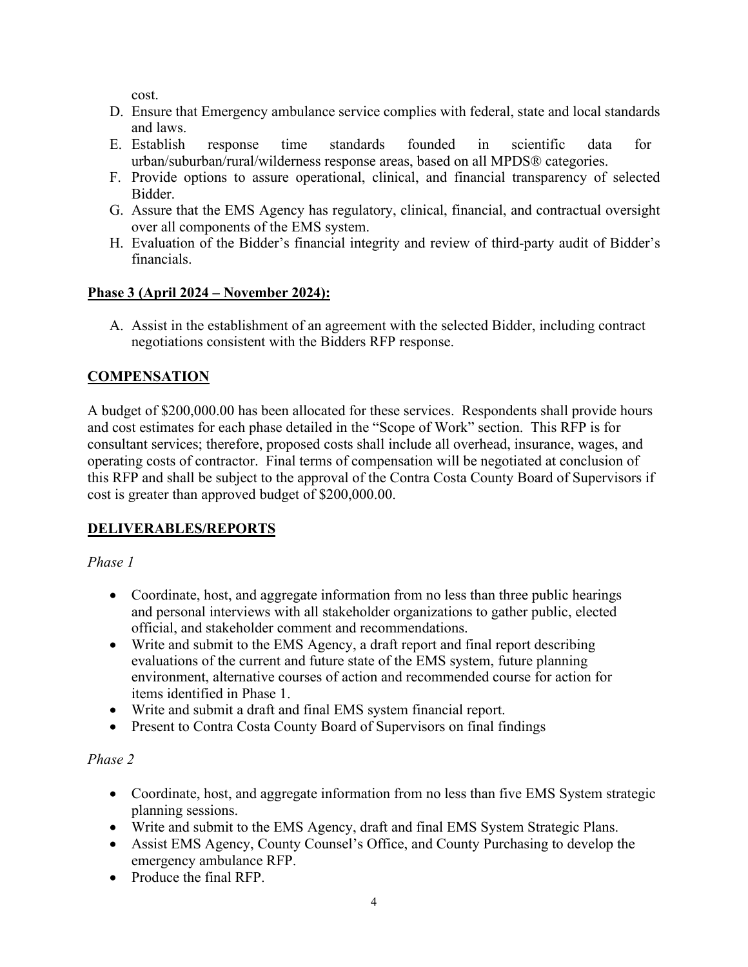cost.

- D. Ensure that Emergency ambulance service complies with federal, state and local standards and laws.
- E. Establish response time standards founded in scientific data for urban/suburban/rural/wilderness response areas, based on all MPDS® categories.
- F. Provide options to assure operational, clinical, and financial transparency of selected Bidder.
- G. Assure that the EMS Agency has regulatory, clinical, financial, and contractual oversight over all components of the EMS system.
- H. Evaluation of the Bidder's financial integrity and review of third-party audit of Bidder's financials.

## **Phase 3 (April 2024 – November 2024):**

A. Assist in the establishment of an agreement with the selected Bidder, including contract negotiations consistent with the Bidders RFP response.

# **COMPENSATION**

A budget of \$200,000.00 has been allocated for these services. Respondents shall provide hours and cost estimates for each phase detailed in the "Scope of Work" section. This RFP is for consultant services; therefore, proposed costs shall include all overhead, insurance, wages, and operating costs of contractor. Final terms of compensation will be negotiated at conclusion of this RFP and shall be subject to the approval of the Contra Costa County Board of Supervisors if cost is greater than approved budget of \$200,000.00.

# **DELIVERABLES/REPORTS**

*Phase 1*

- Coordinate, host, and aggregate information from no less than three public hearings and personal interviews with all stakeholder organizations to gather public, elected official, and stakeholder comment and recommendations.
- Write and submit to the EMS Agency, a draft report and final report describing evaluations of the current and future state of the EMS system, future planning environment, alternative courses of action and recommended course for action for items identified in Phase 1.
- Write and submit a draft and final EMS system financial report.
- Present to Contra Costa County Board of Supervisors on final findings

# *Phase 2*

- Coordinate, host, and aggregate information from no less than five EMS System strategic planning sessions.
- Write and submit to the EMS Agency, draft and final EMS System Strategic Plans.
- Assist EMS Agency, County Counsel's Office, and County Purchasing to develop the emergency ambulance RFP.
- Produce the final RFP.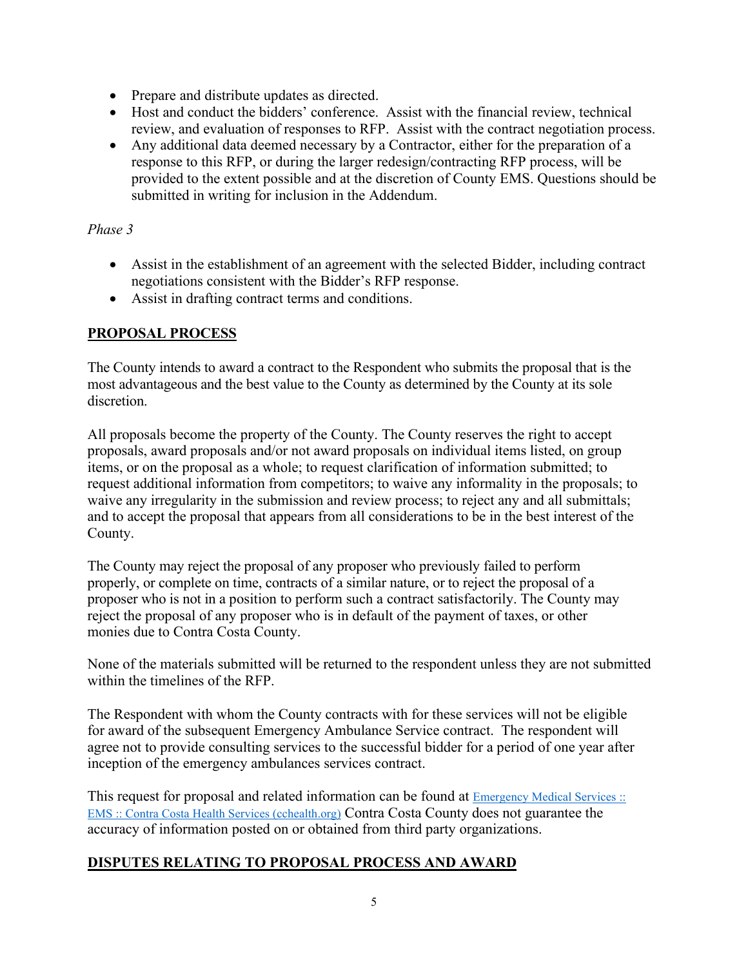- Prepare and distribute updates as directed.
- Host and conduct the bidders' conference. Assist with the financial review, technical review, and evaluation of responses to RFP. Assist with the contract negotiation process.
- Any additional data deemed necessary by a Contractor, either for the preparation of a response to this RFP, or during the larger redesign/contracting RFP process, will be provided to the extent possible and at the discretion of County EMS. Questions should be submitted in writing for inclusion in the Addendum.

### *Phase 3*

- Assist in the establishment of an agreement with the selected Bidder, including contract negotiations consistent with the Bidder's RFP response.
- Assist in drafting contract terms and conditions.

### **PROPOSAL PROCESS**

The County intends to award a contract to the Respondent who submits the proposal that is the most advantageous and the best value to the County as determined by the County at its sole discretion.

All proposals become the property of the County. The County reserves the right to accept proposals, award proposals and/or not award proposals on individual items listed, on group items, or on the proposal as a whole; to request clarification of information submitted; to request additional information from competitors; to waive any informality in the proposals; to waive any irregularity in the submission and review process; to reject any and all submittals; and to accept the proposal that appears from all considerations to be in the best interest of the County.

The County may reject the proposal of any proposer who previously failed to perform properly, or complete on time, contracts of a similar nature, or to reject the proposal of a proposer who is not in a position to perform such a contract satisfactorily. The County may reject the proposal of any proposer who is in default of the payment of taxes, or other monies due to Contra Costa County.

None of the materials submitted will be returned to the respondent unless they are not submitted within the timelines of the RFP.

The Respondent with whom the County contracts with for these services will not be eligible for award of the subsequent Emergency Ambulance Service contract. The respondent will agree not to provide consulting services to the successful bidder for a period of one year after inception of the emergency ambulances services contract.

This request for proposal and related information can be found at **Emergency Medical Services** :: [EMS :: Contra Costa Health Services \(cchealth.org\)](https://cchealth.org/ems/) Contra Costa County does not guarantee the accuracy of information posted on or obtained from third party organizations.

### **DISPUTES RELATING TO PROPOSAL PROCESS AND AWARD**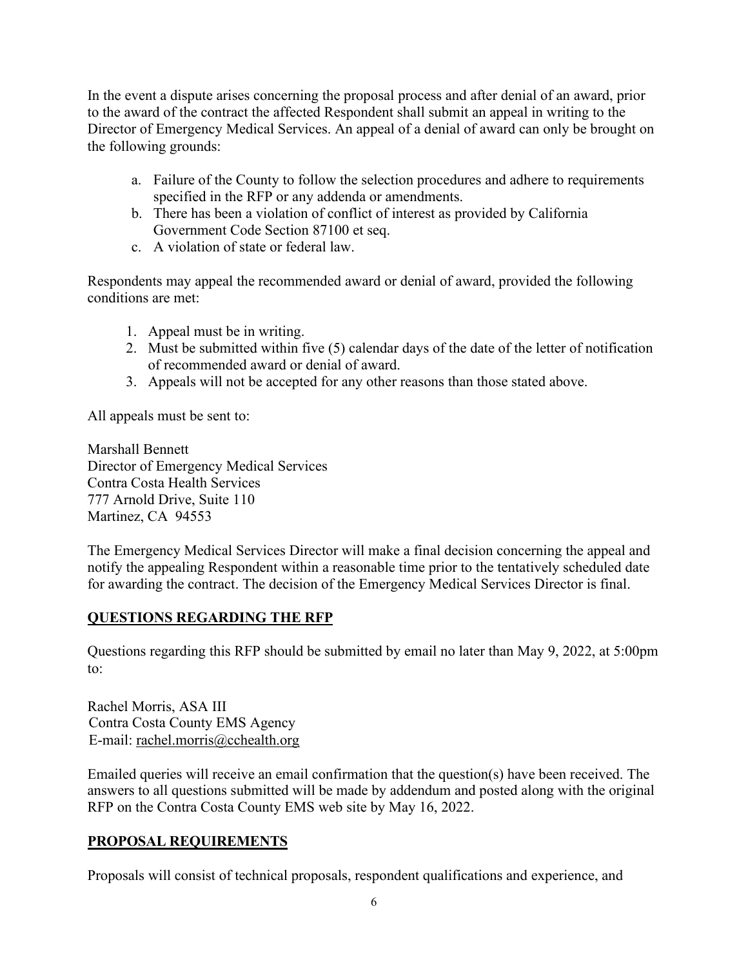In the event a dispute arises concerning the proposal process and after denial of an award, prior to the award of the contract the affected Respondent shall submit an appeal in writing to the Director of Emergency Medical Services. An appeal of a denial of award can only be brought on the following grounds:

- a. Failure of the County to follow the selection procedures and adhere to requirements specified in the RFP or any addenda or amendments.
- b. There has been a violation of conflict of interest as provided by California Government Code Section 87100 et seq.
- c. A violation of state or federal law.

Respondents may appeal the recommended award or denial of award, provided the following conditions are met:

- 1. Appeal must be in writing.
- 2. Must be submitted within five (5) calendar days of the date of the letter of notification of recommended award or denial of award.
- 3. Appeals will not be accepted for any other reasons than those stated above.

All appeals must be sent to:

Marshall Bennett Director of Emergency Medical Services Contra Costa Health Services 777 Arnold Drive, Suite 110 Martinez, CA 94553

The Emergency Medical Services Director will make a final decision concerning the appeal and notify the appealing Respondent within a reasonable time prior to the tentatively scheduled date for awarding the contract. The decision of the Emergency Medical Services Director is final.

## **QUESTIONS REGARDING THE RFP**

Questions regarding this RFP should be submitted by email no later than May 9, 2022, at 5:00pm to:

Rachel Morris, ASA III Contra Costa County EMS Agency E-mail: rachel.morris@cchealth.org

Emailed queries will receive an email confirmation that the question(s) have been received. The answers to all questions submitted will be made by addendum and posted along with the original RFP on the Contra Costa County EMS web site by May 16, 2022.

# **PROPOSAL REQUIREMENTS**

Proposals will consist of technical proposals, respondent qualifications and experience, and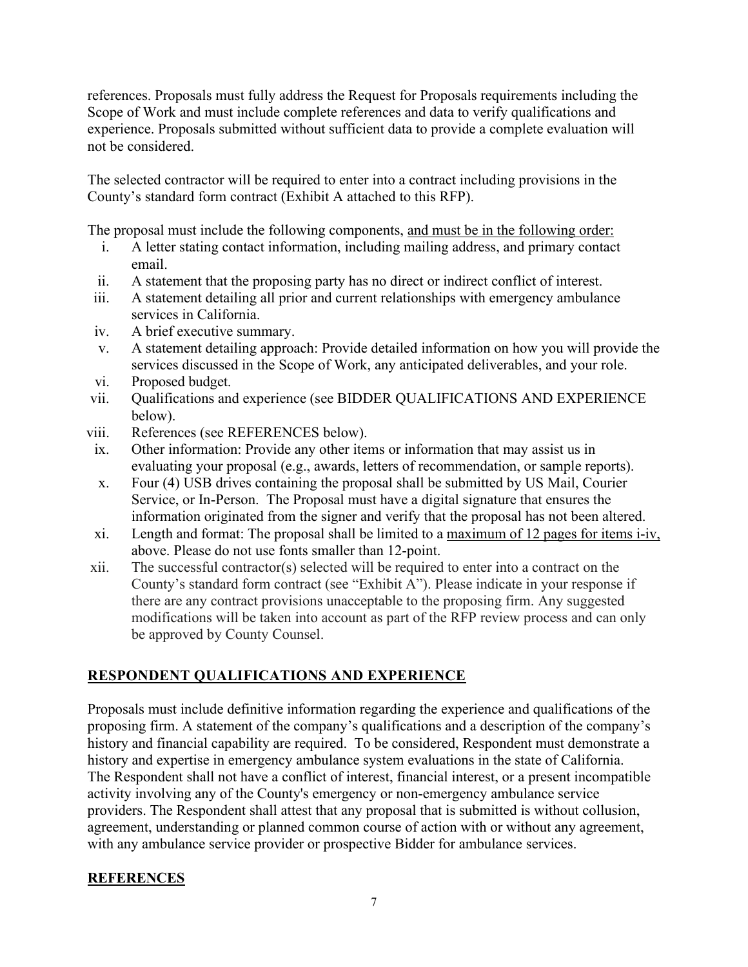references. Proposals must fully address the Request for Proposals requirements including the Scope of Work and must include complete references and data to verify qualifications and experience. Proposals submitted without sufficient data to provide a complete evaluation will not be considered.

The selected contractor will be required to enter into a contract including provisions in the County's standard form contract (Exhibit A attached to this RFP).

The proposal must include the following components, and must be in the following order:

- i. A letter stating contact information, including mailing address, and primary contact email.
- ii. A statement that the proposing party has no direct or indirect conflict of interest.
- iii. A statement detailing all prior and current relationships with emergency ambulance services in California.
- iv. A brief executive summary.
- v. A statement detailing approach: Provide detailed information on how you will provide the services discussed in the Scope of Work, any anticipated deliverables, and your role.
- vi. Proposed budget.
- vii. Qualifications and experience (see BIDDER QUALIFICATIONS AND EXPERIENCE below).
- viii. References (see REFERENCES below).
	- ix. Other information: Provide any other items or information that may assist us in evaluating your proposal (e.g., awards, letters of recommendation, or sample reports).
	- x. Four (4) USB drives containing the proposal shall be submitted by US Mail, Courier Service, or In-Person. The Proposal must have a digital signature that ensures the information originated from the signer and verify that the proposal has not been altered.
- xi. Length and format: The proposal shall be limited to a maximum of 12 pages for items i-iv, above. Please do not use fonts smaller than 12-point.
- xii. The successful contractor(s) selected will be required to enter into a contract on the County's standard form contract (see "Exhibit A"). Please indicate in your response if there are any contract provisions unacceptable to the proposing firm. Any suggested modifications will be taken into account as part of the RFP review process and can only be approved by County Counsel.

## **RESPONDENT QUALIFICATIONS AND EXPERIENCE**

Proposals must include definitive information regarding the experience and qualifications of the proposing firm. A statement of the company's qualifications and a description of the company's history and financial capability are required. To be considered, Respondent must demonstrate a history and expertise in emergency ambulance system evaluations in the state of California. The Respondent shall not have a conflict of interest, financial interest, or a present incompatible activity involving any of the County's emergency or non-emergency ambulance service providers. The Respondent shall attest that any proposal that is submitted is without collusion, agreement, understanding or planned common course of action with or without any agreement, with any ambulance service provider or prospective Bidder for ambulance services.

### **REFERENCES**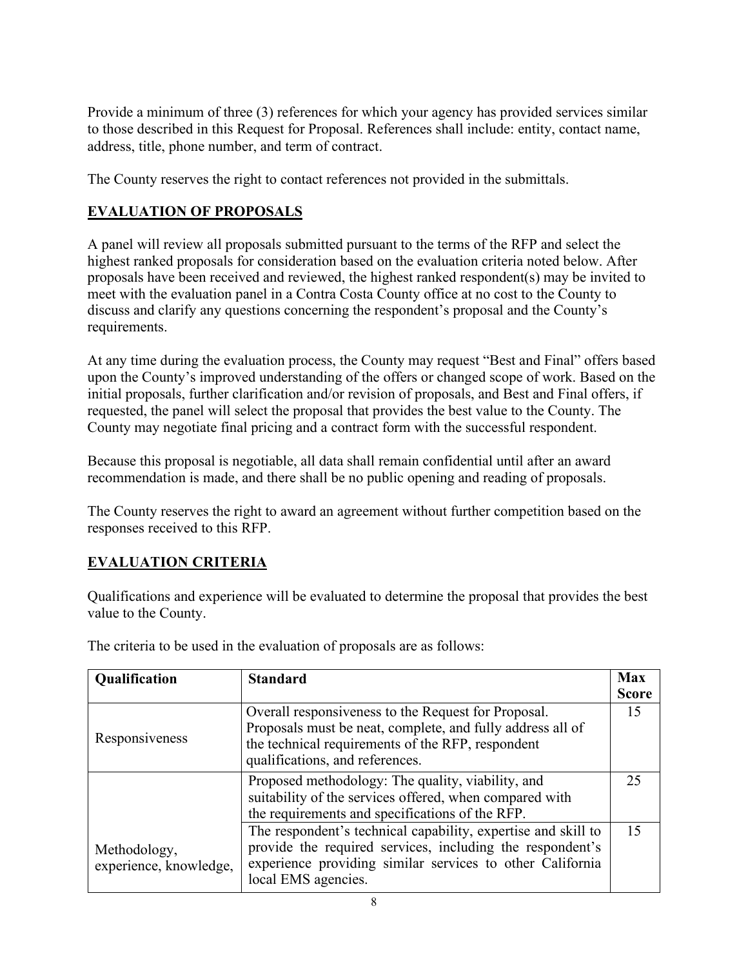Provide a minimum of three (3) references for which your agency has provided services similar to those described in this Request for Proposal. References shall include: entity, contact name, address, title, phone number, and term of contract.

The County reserves the right to contact references not provided in the submittals.

## **EVALUATION OF PROPOSALS**

A panel will review all proposals submitted pursuant to the terms of the RFP and select the highest ranked proposals for consideration based on the evaluation criteria noted below. After proposals have been received and reviewed, the highest ranked respondent(s) may be invited to meet with the evaluation panel in a Contra Costa County office at no cost to the County to discuss and clarify any questions concerning the respondent's proposal and the County's requirements.

At any time during the evaluation process, the County may request "Best and Final" offers based upon the County's improved understanding of the offers or changed scope of work. Based on the initial proposals, further clarification and/or revision of proposals, and Best and Final offers, if requested, the panel will select the proposal that provides the best value to the County. The County may negotiate final pricing and a contract form with the successful respondent.

Because this proposal is negotiable, all data shall remain confidential until after an award recommendation is made, and there shall be no public opening and reading of proposals.

The County reserves the right to award an agreement without further competition based on the responses received to this RFP.

## **EVALUATION CRITERIA**

Qualifications and experience will be evaluated to determine the proposal that provides the best value to the County.

| Qualification                          | <b>Standard</b>                                                                                                                                                                                                | <b>Max</b><br><b>Score</b> |
|----------------------------------------|----------------------------------------------------------------------------------------------------------------------------------------------------------------------------------------------------------------|----------------------------|
| Responsiveness                         | Overall responsiveness to the Request for Proposal.<br>Proposals must be neat, complete, and fully address all of<br>the technical requirements of the RFP, respondent<br>qualifications, and references.      | 15                         |
|                                        | Proposed methodology: The quality, viability, and<br>suitability of the services offered, when compared with<br>the requirements and specifications of the RFP.                                                | 25                         |
| Methodology,<br>experience, knowledge, | The respondent's technical capability, expertise and skill to<br>provide the required services, including the respondent's<br>experience providing similar services to other California<br>local EMS agencies. | 15                         |

The criteria to be used in the evaluation of proposals are as follows: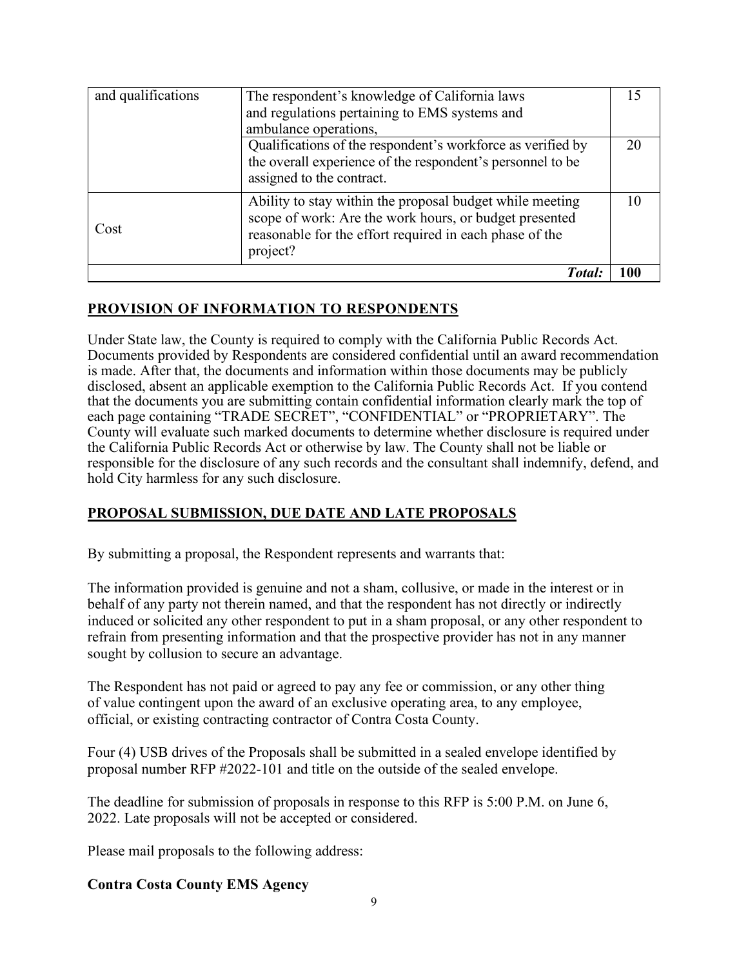| and qualifications | The respondent's knowledge of California laws               |    |
|--------------------|-------------------------------------------------------------|----|
|                    | and regulations pertaining to EMS systems and               |    |
|                    | ambulance operations,                                       |    |
|                    | Qualifications of the respondent's workforce as verified by | 20 |
|                    | the overall experience of the respondent's personnel to be  |    |
|                    | assigned to the contract.                                   |    |
|                    | Ability to stay within the proposal budget while meeting    |    |
| Cost               | scope of work: Are the work hours, or budget presented      |    |
|                    | reasonable for the effort required in each phase of the     |    |
|                    | project?                                                    |    |
|                    | Total:                                                      |    |

## **PROVISION OF INFORMATION TO RESPONDENTS**

Under State law, the County is required to comply with the California Public Records Act. Documents provided by Respondents are considered confidential until an award recommendation is made. After that, the documents and information within those documents may be publicly disclosed, absent an applicable exemption to the California Public Records Act. If you contend that the documents you are submitting contain confidential information clearly mark the top of each page containing "TRADE SECRET", "CONFIDENTIAL" or "PROPRIETARY". The County will evaluate such marked documents to determine whether disclosure is required under the California Public Records Act or otherwise by law. The County shall not be liable or responsible for the disclosure of any such records and the consultant shall indemnify, defend, and hold City harmless for any such disclosure.

### **PROPOSAL SUBMISSION, DUE DATE AND LATE PROPOSALS**

By submitting a proposal, the Respondent represents and warrants that:

The information provided is genuine and not a sham, collusive, or made in the interest or in behalf of any party not therein named, and that the respondent has not directly or indirectly induced or solicited any other respondent to put in a sham proposal, or any other respondent to refrain from presenting information and that the prospective provider has not in any manner sought by collusion to secure an advantage.

The Respondent has not paid or agreed to pay any fee or commission, or any other thing of value contingent upon the award of an exclusive operating area, to any employee, official, or existing contracting contractor of Contra Costa County.

Four (4) USB drives of the Proposals shall be submitted in a sealed envelope identified by proposal number RFP #2022-101 and title on the outside of the sealed envelope.

The deadline for submission of proposals in response to this RFP is 5:00 P.M. on June 6, 2022. Late proposals will not be accepted or considered.

Please mail proposals to the following address:

#### **Contra Costa County EMS Agency**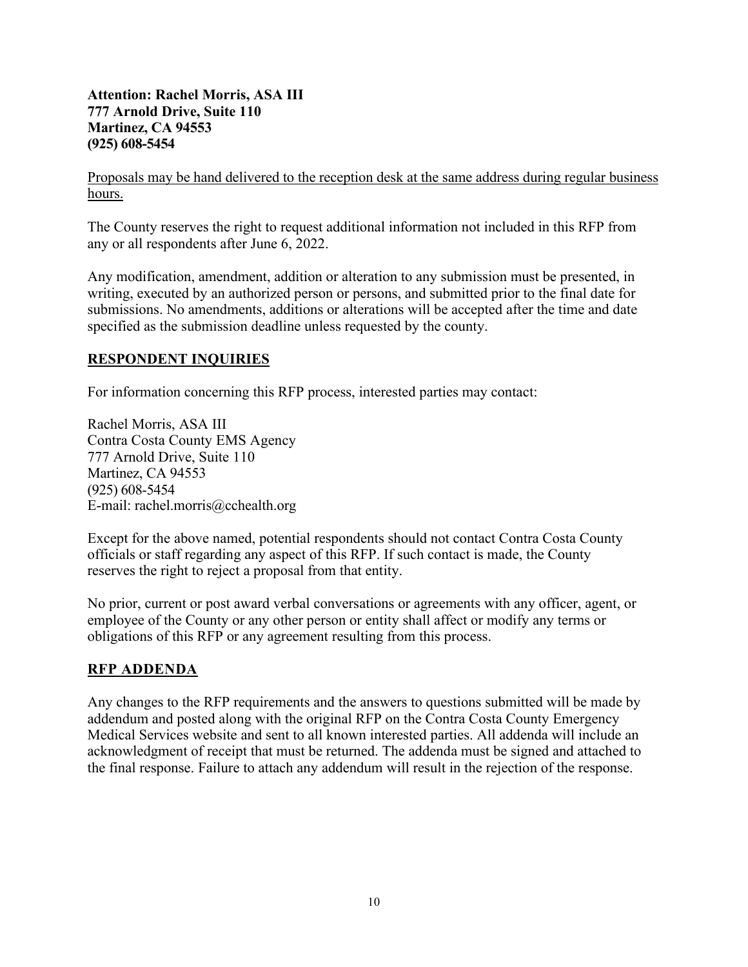**Attention: Rachel Morris, ASA III 777 Arnold Drive, Suite 110 Martinez, CA 94553 (925) 608-5454**

Proposals may be hand delivered to the reception desk at the same address during regular business hours.

The County reserves the right to request additional information not included in this RFP from any or all respondents after June 6, 2022.

Any modification, amendment, addition or alteration to any submission must be presented, in writing, executed by an authorized person or persons, and submitted prior to the final date for submissions. No amendments, additions or alterations will be accepted after the time and date specified as the submission deadline unless requested by the county.

### **RESPONDENT INQUIRIES**

For information concerning this RFP process, interested parties may contact:

Rachel Morris, ASA III Contra Costa County EMS Agency 777 Arnold Drive, Suite 110 Martinez, CA 94553 (925) 608-5454 E-mail: rachel.morris@cchealth.org

Except for the above named, potential respondents should not contact Contra Costa County officials or staff regarding any aspect of this RFP. If such contact is made, the County reserves the right to reject a proposal from that entity.

No prior, current or post award verbal conversations or agreements with any officer, agent, or employee of the County or any other person or entity shall affect or modify any terms or obligations of this RFP or any agreement resulting from this process.

### **RFP ADDENDA**

Any changes to the RFP requirements and the answers to questions submitted will be made by addendum and posted along with the original RFP on the Contra Costa County Emergency Medical Services website and sent to all known interested parties. All addenda will include an acknowledgment of receipt that must be returned. The addenda must be signed and attached to the final response. Failure to attach any addendum will result in the rejection of the response.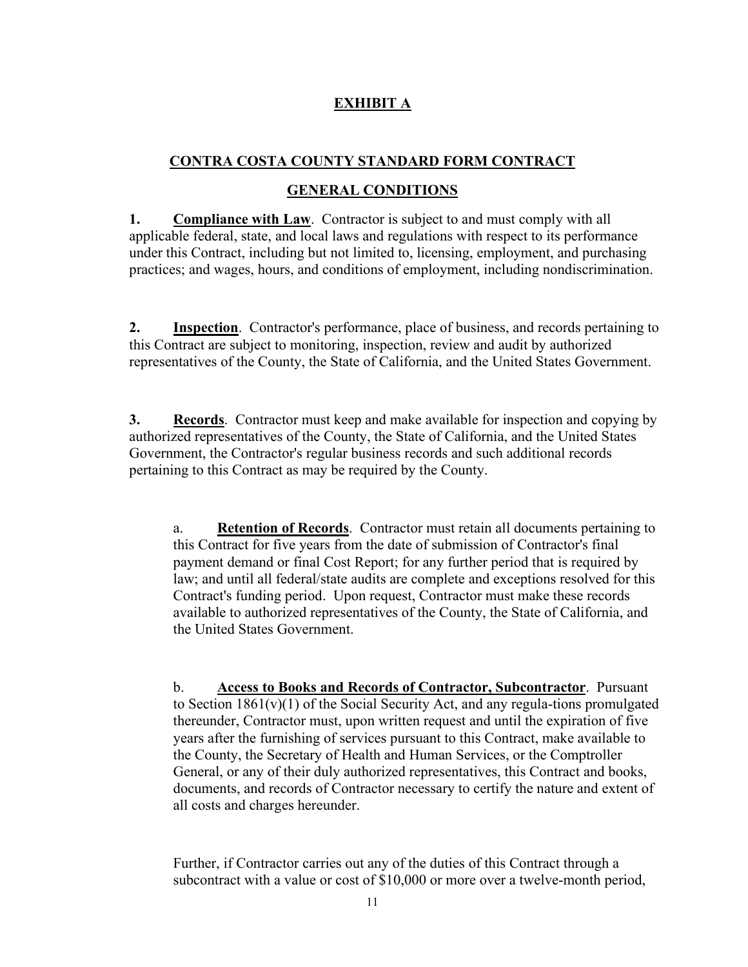## **EXHIBIT A**

## **CONTRA COSTA COUNTY STANDARD FORM CONTRACT**

#### **GENERAL CONDITIONS**

**1. Compliance with Law**. Contractor is subject to and must comply with all applicable federal, state, and local laws and regulations with respect to its performance under this Contract, including but not limited to, licensing, employment, and purchasing practices; and wages, hours, and conditions of employment, including nondiscrimination.

**2. Inspection**. Contractor's performance, place of business, and records pertaining to this Contract are subject to monitoring, inspection, review and audit by authorized representatives of the County, the State of California, and the United States Government.

**3. Records**. Contractor must keep and make available for inspection and copying by authorized representatives of the County, the State of California, and the United States Government, the Contractor's regular business records and such additional records pertaining to this Contract as may be required by the County.

a. **Retention of Records**. Contractor must retain all documents pertaining to this Contract for five years from the date of submission of Contractor's final payment demand or final Cost Report; for any further period that is required by law; and until all federal/state audits are complete and exceptions resolved for this Contract's funding period. Upon request, Contractor must make these records available to authorized representatives of the County, the State of California, and the United States Government.

b. **Access to Books and Records of Contractor, Subcontractor**. Pursuant to Section 1861(v)(1) of the Social Security Act, and any regula-tions promulgated thereunder, Contractor must, upon written request and until the expiration of five years after the furnishing of services pursuant to this Contract, make available to the County, the Secretary of Health and Human Services, or the Comptroller General, or any of their duly authorized representatives, this Contract and books, documents, and records of Contractor necessary to certify the nature and extent of all costs and charges hereunder.

Further, if Contractor carries out any of the duties of this Contract through a subcontract with a value or cost of \$10,000 or more over a twelve-month period,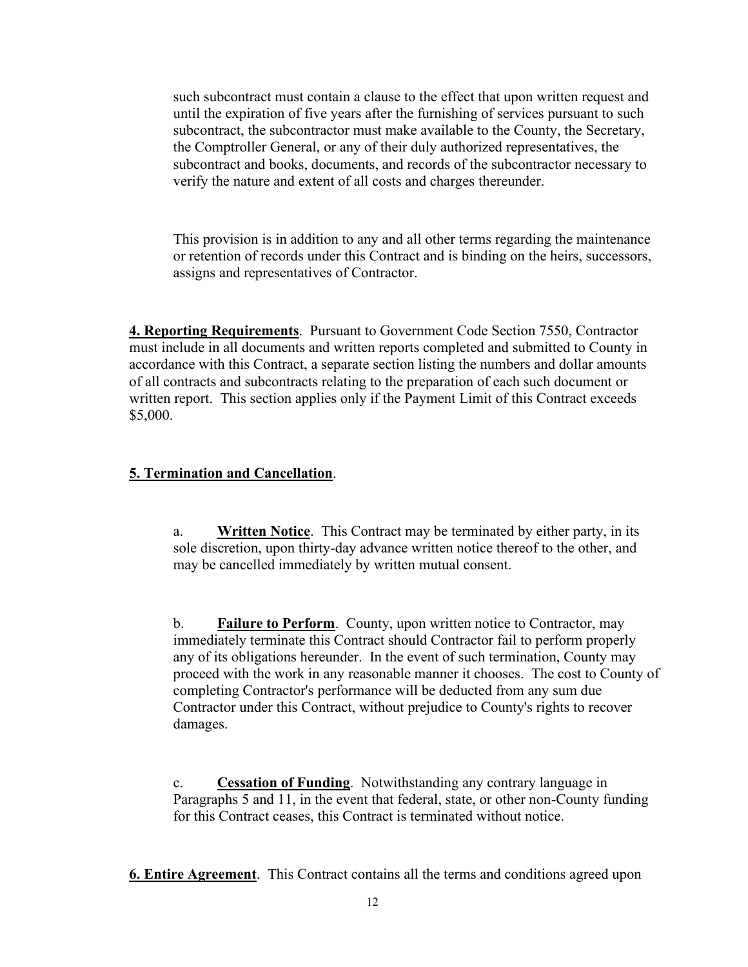such subcontract must contain a clause to the effect that upon written request and until the expiration of five years after the furnishing of services pursuant to such subcontract, the subcontractor must make available to the County, the Secretary, the Comptroller General, or any of their duly authorized representatives, the subcontract and books, documents, and records of the subcontractor necessary to verify the nature and extent of all costs and charges thereunder.

This provision is in addition to any and all other terms regarding the maintenance or retention of records under this Contract and is binding on the heirs, successors, assigns and representatives of Contractor.

**4. Reporting Requirements**. Pursuant to Government Code Section 7550, Contractor must include in all documents and written reports completed and submitted to County in accordance with this Contract, a separate section listing the numbers and dollar amounts of all contracts and subcontracts relating to the preparation of each such document or written report. This section applies only if the Payment Limit of this Contract exceeds \$5,000.

### **5. Termination and Cancellation**.

a. **Written Notice**. This Contract may be terminated by either party, in its sole discretion, upon thirty-day advance written notice thereof to the other, and may be cancelled immediately by written mutual consent.

b. **Failure to Perform**. County, upon written notice to Contractor, may immediately terminate this Contract should Contractor fail to perform properly any of its obligations hereunder. In the event of such termination, County may proceed with the work in any reasonable manner it chooses. The cost to County of completing Contractor's performance will be deducted from any sum due Contractor under this Contract, without prejudice to County's rights to recover damages.

c. **Cessation of Funding**. Notwithstanding any contrary language in Paragraphs 5 and 11, in the event that federal, state, or other non-County funding for this Contract ceases, this Contract is terminated without notice.

**6. Entire Agreement**. This Contract contains all the terms and conditions agreed upon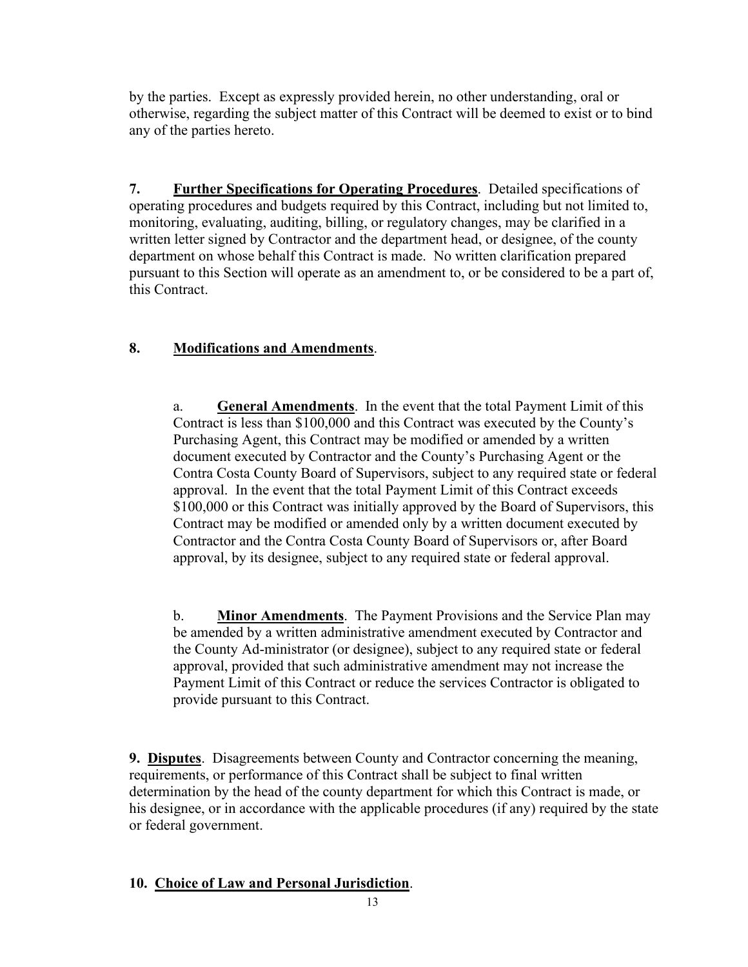by the parties. Except as expressly provided herein, no other understanding, oral or otherwise, regarding the subject matter of this Contract will be deemed to exist or to bind any of the parties hereto.

**7. Further Specifications for Operating Procedures**. Detailed specifications of operating procedures and budgets required by this Contract, including but not limited to, monitoring, evaluating, auditing, billing, or regulatory changes, may be clarified in a written letter signed by Contractor and the department head, or designee, of the county department on whose behalf this Contract is made. No written clarification prepared pursuant to this Section will operate as an amendment to, or be considered to be a part of, this Contract.

### **8. Modifications and Amendments**.

a. **General Amendments**. In the event that the total Payment Limit of this Contract is less than \$100,000 and this Contract was executed by the County's Purchasing Agent, this Contract may be modified or amended by a written document executed by Contractor and the County's Purchasing Agent or the Contra Costa County Board of Supervisors, subject to any required state or federal approval. In the event that the total Payment Limit of this Contract exceeds \$100,000 or this Contract was initially approved by the Board of Supervisors, this Contract may be modified or amended only by a written document executed by Contractor and the Contra Costa County Board of Supervisors or, after Board approval, by its designee, subject to any required state or federal approval.

b. **Minor Amendments**. The Payment Provisions and the Service Plan may be amended by a written administrative amendment executed by Contractor and the County Ad-ministrator (or designee), subject to any required state or federal approval, provided that such administrative amendment may not increase the Payment Limit of this Contract or reduce the services Contractor is obligated to provide pursuant to this Contract.

**9. Disputes**. Disagreements between County and Contractor concerning the meaning, requirements, or performance of this Contract shall be subject to final written determination by the head of the county department for which this Contract is made, or his designee, or in accordance with the applicable procedures (if any) required by the state or federal government.

### **10. Choice of Law and Personal Jurisdiction**.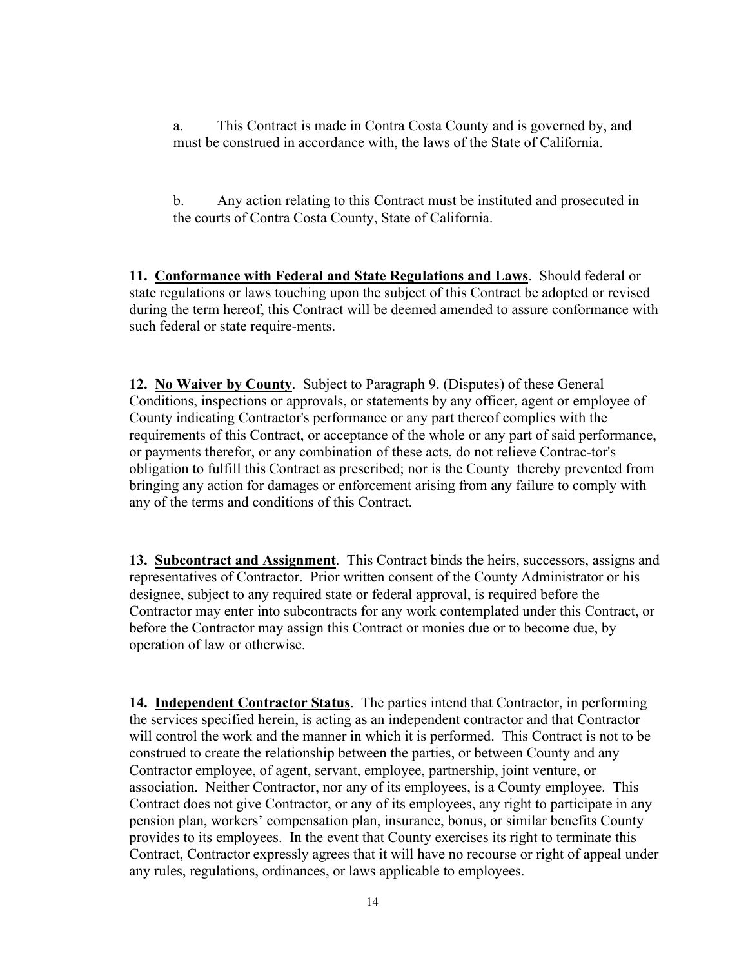a. This Contract is made in Contra Costa County and is governed by, and must be construed in accordance with, the laws of the State of California.

b. Any action relating to this Contract must be instituted and prosecuted in the courts of Contra Costa County, State of California.

**11. Conformance with Federal and State Regulations and Laws**. Should federal or state regulations or laws touching upon the subject of this Contract be adopted or revised during the term hereof, this Contract will be deemed amended to assure conformance with such federal or state require-ments.

**12. No Waiver by County**. Subject to Paragraph 9. (Disputes) of these General Conditions, inspections or approvals, or statements by any officer, agent or employee of County indicating Contractor's performance or any part thereof complies with the requirements of this Contract, or acceptance of the whole or any part of said performance, or payments therefor, or any combination of these acts, do not relieve Contrac-tor's obligation to fulfill this Contract as prescribed; nor is the County thereby prevented from bringing any action for damages or enforcement arising from any failure to comply with any of the terms and conditions of this Contract.

**13. Subcontract and Assignment**. This Contract binds the heirs, successors, assigns and representatives of Contractor. Prior written consent of the County Administrator or his designee, subject to any required state or federal approval, is required before the Contractor may enter into subcontracts for any work contemplated under this Contract, or before the Contractor may assign this Contract or monies due or to become due, by operation of law or otherwise.

**14. Independent Contractor Status**. The parties intend that Contractor, in performing the services specified herein, is acting as an independent contractor and that Contractor will control the work and the manner in which it is performed. This Contract is not to be construed to create the relationship between the parties, or between County and any Contractor employee, of agent, servant, employee, partnership, joint venture, or association. Neither Contractor, nor any of its employees, is a County employee. This Contract does not give Contractor, or any of its employees, any right to participate in any pension plan, workers' compensation plan, insurance, bonus, or similar benefits County provides to its employees. In the event that County exercises its right to terminate this Contract, Contractor expressly agrees that it will have no recourse or right of appeal under any rules, regulations, ordinances, or laws applicable to employees.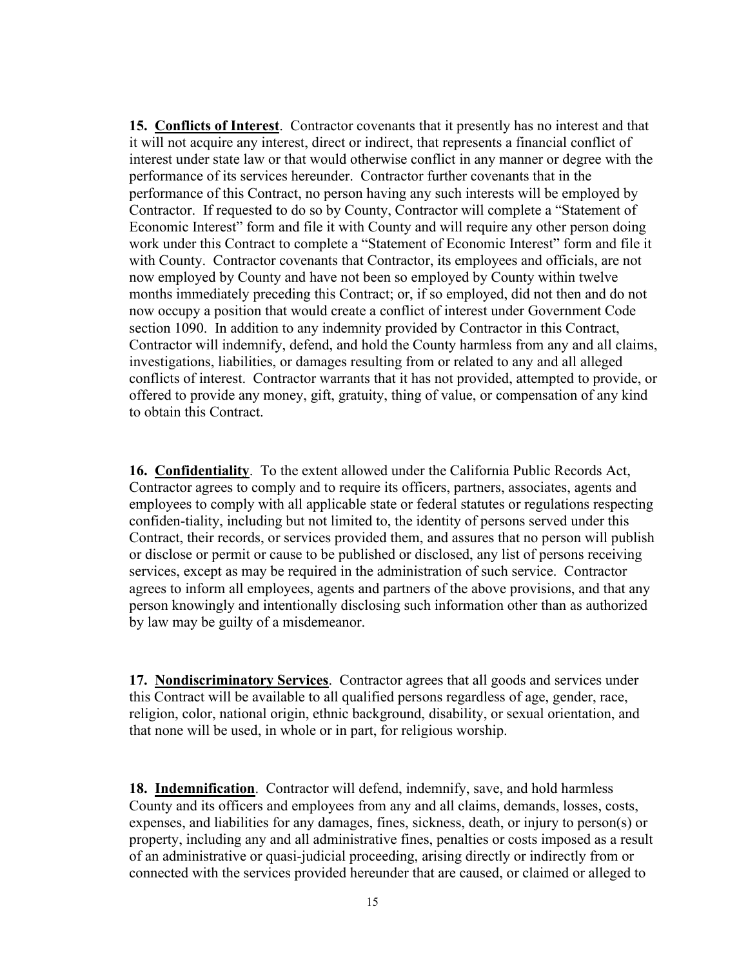**15. Conflicts of Interest**. Contractor covenants that it presently has no interest and that it will not acquire any interest, direct or indirect, that represents a financial conflict of interest under state law or that would otherwise conflict in any manner or degree with the performance of its services hereunder. Contractor further covenants that in the performance of this Contract, no person having any such interests will be employed by Contractor. If requested to do so by County, Contractor will complete a "Statement of Economic Interest" form and file it with County and will require any other person doing work under this Contract to complete a "Statement of Economic Interest" form and file it with County. Contractor covenants that Contractor, its employees and officials, are not now employed by County and have not been so employed by County within twelve months immediately preceding this Contract; or, if so employed, did not then and do not now occupy a position that would create a conflict of interest under Government Code section 1090. In addition to any indemnity provided by Contractor in this Contract, Contractor will indemnify, defend, and hold the County harmless from any and all claims, investigations, liabilities, or damages resulting from or related to any and all alleged conflicts of interest. Contractor warrants that it has not provided, attempted to provide, or offered to provide any money, gift, gratuity, thing of value, or compensation of any kind to obtain this Contract.

**16. Confidentiality**. To the extent allowed under the California Public Records Act, Contractor agrees to comply and to require its officers, partners, associates, agents and employees to comply with all applicable state or federal statutes or regulations respecting confiden-tiality, including but not limited to, the identity of persons served under this Contract, their records, or services provided them, and assures that no person will publish or disclose or permit or cause to be published or disclosed, any list of persons receiving services, except as may be required in the administration of such service. Contractor agrees to inform all employees, agents and partners of the above provisions, and that any person knowingly and intentionally disclosing such information other than as authorized by law may be guilty of a misdemeanor.

**17. Nondiscriminatory Services**. Contractor agrees that all goods and services under this Contract will be available to all qualified persons regardless of age, gender, race, religion, color, national origin, ethnic background, disability, or sexual orientation, and that none will be used, in whole or in part, for religious worship.

**18. Indemnification**. Contractor will defend, indemnify, save, and hold harmless County and its officers and employees from any and all claims, demands, losses, costs, expenses, and liabilities for any damages, fines, sickness, death, or injury to person(s) or property, including any and all administrative fines, penalties or costs imposed as a result of an administrative or quasi-judicial proceeding, arising directly or indirectly from or connected with the services provided hereunder that are caused, or claimed or alleged to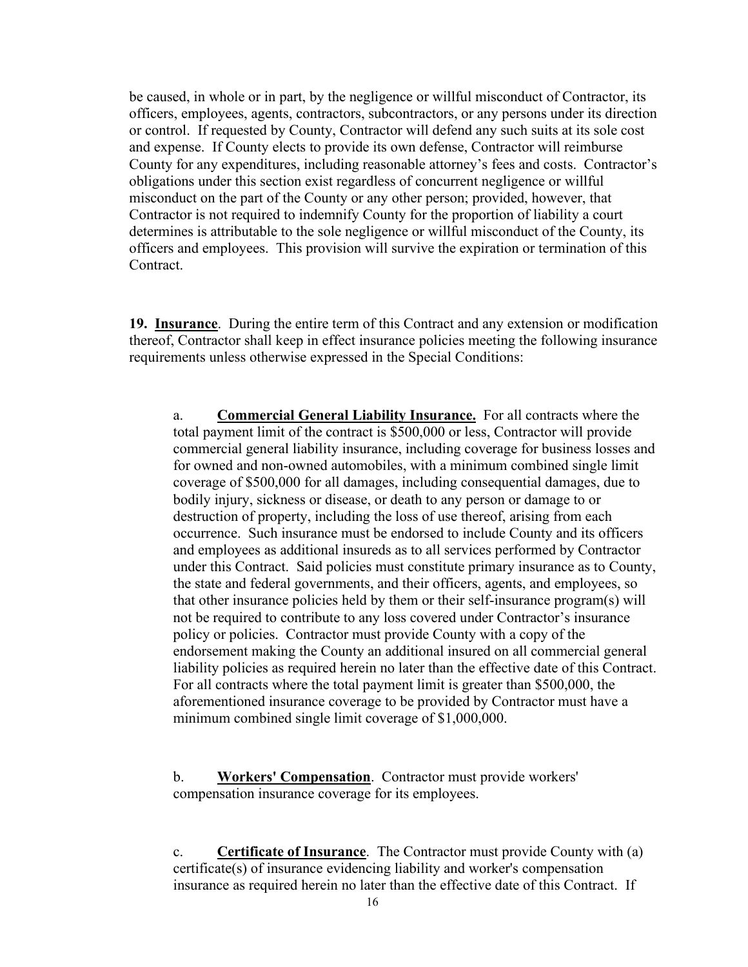be caused, in whole or in part, by the negligence or willful misconduct of Contractor, its officers, employees, agents, contractors, subcontractors, or any persons under its direction or control. If requested by County, Contractor will defend any such suits at its sole cost and expense. If County elects to provide its own defense, Contractor will reimburse County for any expenditures, including reasonable attorney's fees and costs. Contractor's obligations under this section exist regardless of concurrent negligence or willful misconduct on the part of the County or any other person; provided, however, that Contractor is not required to indemnify County for the proportion of liability a court determines is attributable to the sole negligence or willful misconduct of the County, its officers and employees. This provision will survive the expiration or termination of this Contract.

**19. Insurance**. During the entire term of this Contract and any extension or modification thereof, Contractor shall keep in effect insurance policies meeting the following insurance requirements unless otherwise expressed in the Special Conditions:

a. **Commercial General Liability Insurance.** For all contracts where the total payment limit of the contract is \$500,000 or less, Contractor will provide commercial general liability insurance, including coverage for business losses and for owned and non-owned automobiles, with a minimum combined single limit coverage of \$500,000 for all damages, including consequential damages, due to bodily injury, sickness or disease, or death to any person or damage to or destruction of property, including the loss of use thereof, arising from each occurrence. Such insurance must be endorsed to include County and its officers and employees as additional insureds as to all services performed by Contractor under this Contract. Said policies must constitute primary insurance as to County, the state and federal governments, and their officers, agents, and employees, so that other insurance policies held by them or their self-insurance program(s) will not be required to contribute to any loss covered under Contractor's insurance policy or policies. Contractor must provide County with a copy of the endorsement making the County an additional insured on all commercial general liability policies as required herein no later than the effective date of this Contract. For all contracts where the total payment limit is greater than \$500,000, the aforementioned insurance coverage to be provided by Contractor must have a minimum combined single limit coverage of \$1,000,000.

b. **Workers' Compensation**. Contractor must provide workers' compensation insurance coverage for its employees.

c. **Certificate of Insurance**. The Contractor must provide County with (a) certificate(s) of insurance evidencing liability and worker's compensation insurance as required herein no later than the effective date of this Contract. If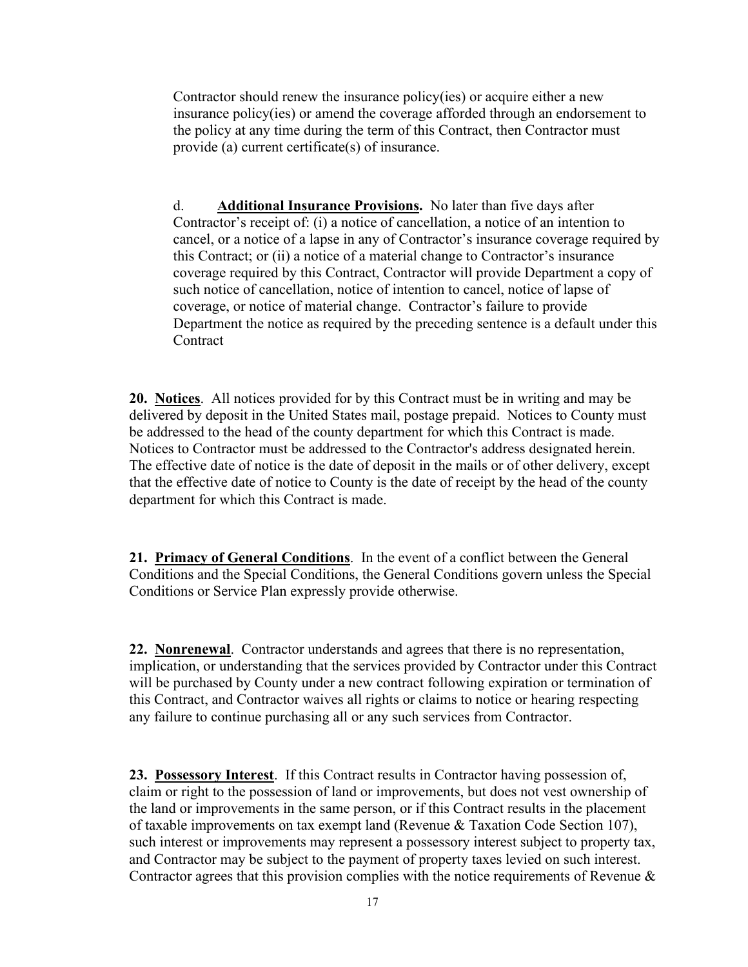Contractor should renew the insurance policy(ies) or acquire either a new insurance policy(ies) or amend the coverage afforded through an endorsement to the policy at any time during the term of this Contract, then Contractor must provide (a) current certificate(s) of insurance.

d. **Additional Insurance Provisions.** No later than five days after Contractor's receipt of: (i) a notice of cancellation, a notice of an intention to cancel, or a notice of a lapse in any of Contractor's insurance coverage required by this Contract; or (ii) a notice of a material change to Contractor's insurance coverage required by this Contract, Contractor will provide Department a copy of such notice of cancellation, notice of intention to cancel, notice of lapse of coverage, or notice of material change. Contractor's failure to provide Department the notice as required by the preceding sentence is a default under this **Contract** 

**20. Notices**. All notices provided for by this Contract must be in writing and may be delivered by deposit in the United States mail, postage prepaid. Notices to County must be addressed to the head of the county department for which this Contract is made. Notices to Contractor must be addressed to the Contractor's address designated herein. The effective date of notice is the date of deposit in the mails or of other delivery, except that the effective date of notice to County is the date of receipt by the head of the county department for which this Contract is made.

**21. Primacy of General Conditions**. In the event of a conflict between the General Conditions and the Special Conditions, the General Conditions govern unless the Special Conditions or Service Plan expressly provide otherwise.

**22. Nonrenewal**. Contractor understands and agrees that there is no representation, implication, or understanding that the services provided by Contractor under this Contract will be purchased by County under a new contract following expiration or termination of this Contract, and Contractor waives all rights or claims to notice or hearing respecting any failure to continue purchasing all or any such services from Contractor.

**23. Possessory Interest**. If this Contract results in Contractor having possession of, claim or right to the possession of land or improvements, but does not vest ownership of the land or improvements in the same person, or if this Contract results in the placement of taxable improvements on tax exempt land (Revenue & Taxation Code Section 107), such interest or improvements may represent a possessory interest subject to property tax, and Contractor may be subject to the payment of property taxes levied on such interest. Contractor agrees that this provision complies with the notice requirements of Revenue  $\&$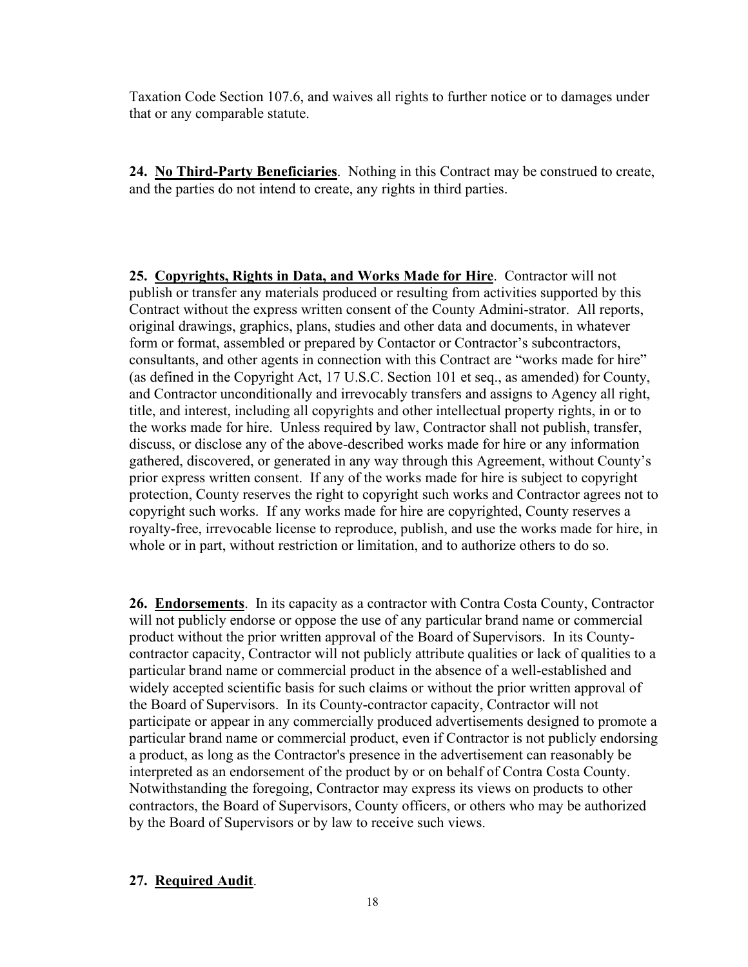Taxation Code Section 107.6, and waives all rights to further notice or to damages under that or any comparable statute.

**24. No Third-Party Beneficiaries**. Nothing in this Contract may be construed to create, and the parties do not intend to create, any rights in third parties.

**25. Copyrights, Rights in Data, and Works Made for Hire**. Contractor will not publish or transfer any materials produced or resulting from activities supported by this Contract without the express written consent of the County Admini-strator. All reports, original drawings, graphics, plans, studies and other data and documents, in whatever form or format, assembled or prepared by Contactor or Contractor's subcontractors, consultants, and other agents in connection with this Contract are "works made for hire" (as defined in the Copyright Act, 17 U.S.C. Section 101 et seq., as amended) for County, and Contractor unconditionally and irrevocably transfers and assigns to Agency all right, title, and interest, including all copyrights and other intellectual property rights, in or to the works made for hire. Unless required by law, Contractor shall not publish, transfer, discuss, or disclose any of the above-described works made for hire or any information gathered, discovered, or generated in any way through this Agreement, without County's prior express written consent. If any of the works made for hire is subject to copyright protection, County reserves the right to copyright such works and Contractor agrees not to copyright such works. If any works made for hire are copyrighted, County reserves a royalty-free, irrevocable license to reproduce, publish, and use the works made for hire, in whole or in part, without restriction or limitation, and to authorize others to do so.

**26. Endorsements**. In its capacity as a contractor with Contra Costa County, Contractor will not publicly endorse or oppose the use of any particular brand name or commercial product without the prior written approval of the Board of Supervisors. In its Countycontractor capacity, Contractor will not publicly attribute qualities or lack of qualities to a particular brand name or commercial product in the absence of a well-established and widely accepted scientific basis for such claims or without the prior written approval of the Board of Supervisors. In its County-contractor capacity, Contractor will not participate or appear in any commercially produced advertisements designed to promote a particular brand name or commercial product, even if Contractor is not publicly endorsing a product, as long as the Contractor's presence in the advertisement can reasonably be interpreted as an endorsement of the product by or on behalf of Contra Costa County. Notwithstanding the foregoing, Contractor may express its views on products to other contractors, the Board of Supervisors, County officers, or others who may be authorized by the Board of Supervisors or by law to receive such views.

#### **27. Required Audit**.